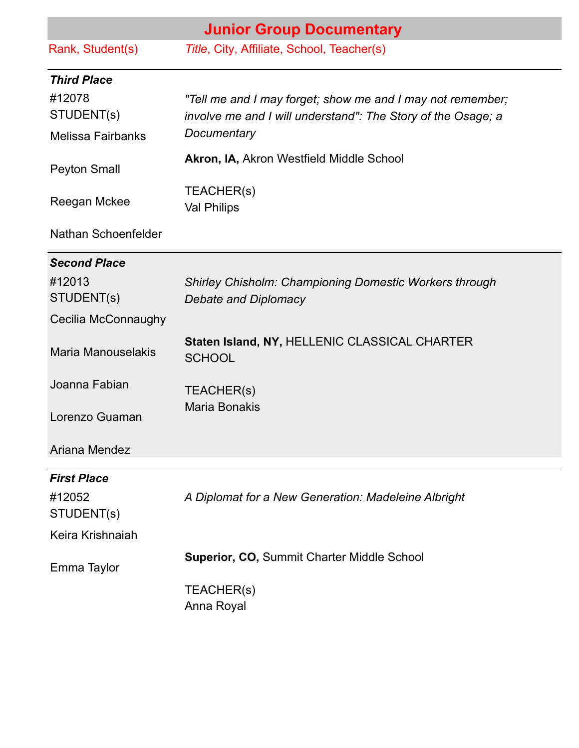| <b>Junior Group Documentary</b> |                                                                                                                            |  |
|---------------------------------|----------------------------------------------------------------------------------------------------------------------------|--|
| Rank, Student(s)                | Title, City, Affiliate, School, Teacher(s)                                                                                 |  |
| <b>Third Place</b>              |                                                                                                                            |  |
| #12078<br>STUDENT(s)            | "Tell me and I may forget; show me and I may not remember;<br>involve me and I will understand": The Story of the Osage; a |  |
| <b>Melissa Fairbanks</b>        | Documentary                                                                                                                |  |
| <b>Peyton Small</b>             | Akron, IA, Akron Westfield Middle School                                                                                   |  |
| Reegan Mckee                    | TEACHER(s)<br><b>Val Philips</b>                                                                                           |  |
| Nathan Schoenfelder             |                                                                                                                            |  |
| <b>Second Place</b>             |                                                                                                                            |  |
| #12013<br>STUDENT(s)            | <b>Shirley Chisholm: Championing Domestic Workers through</b><br><b>Debate and Diplomacy</b>                               |  |
| Cecilia McConnaughy             |                                                                                                                            |  |
| <b>Maria Manouselakis</b>       | Staten Island, NY, HELLENIC CLASSICAL CHARTER<br><b>SCHOOL</b>                                                             |  |
| Joanna Fabian                   | TEACHER(s)                                                                                                                 |  |
| Lorenzo Guaman                  | <b>Maria Bonakis</b>                                                                                                       |  |
| Ariana Mendez                   |                                                                                                                            |  |
| <b>First Place</b>              |                                                                                                                            |  |
| #12052<br>STUDENT(s)            | A Diplomat for a New Generation: Madeleine Albright                                                                        |  |
| Keira Krishnaiah                |                                                                                                                            |  |
| Emma Taylor                     | <b>Superior, CO, Summit Charter Middle School</b>                                                                          |  |
|                                 | TEACHER(s)<br>Anna Royal                                                                                                   |  |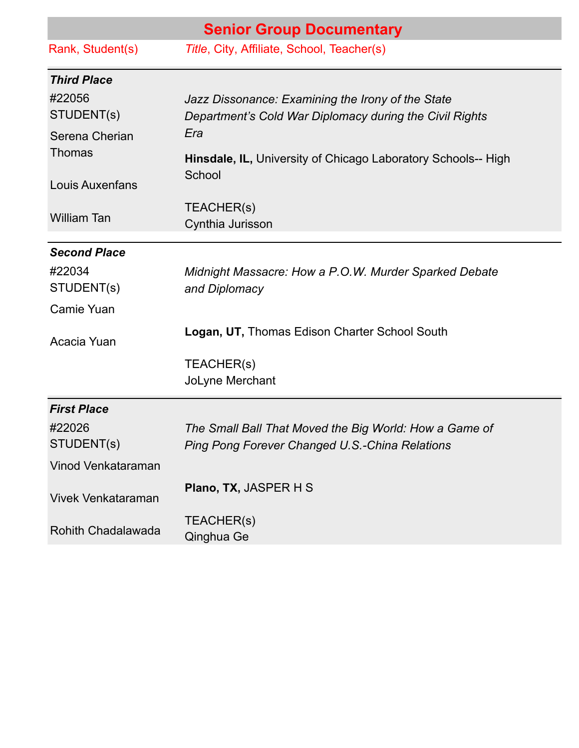| <b>Senior Group Documentary</b> |                                                                                                              |
|---------------------------------|--------------------------------------------------------------------------------------------------------------|
| Rank, Student(s)                | Title, City, Affiliate, School, Teacher(s)                                                                   |
| <b>Third Place</b>              |                                                                                                              |
| #22056<br>STUDENT(s)            | Jazz Dissonance: Examining the Irony of the State<br>Department's Cold War Diplomacy during the Civil Rights |
| Serena Cherian<br><b>Thomas</b> | Era<br>Hinsdale, IL, University of Chicago Laboratory Schools-- High                                         |
| <b>Louis Auxenfans</b>          | School                                                                                                       |
| <b>William Tan</b>              | TEACHER(s)<br>Cynthia Jurisson                                                                               |
| <b>Second Place</b>             |                                                                                                              |
| #22034<br>STUDENT(s)            | Midnight Massacre: How a P.O.W. Murder Sparked Debate<br>and Diplomacy                                       |
| Camie Yuan                      |                                                                                                              |
| Acacia Yuan                     | Logan, UT, Thomas Edison Charter School South                                                                |
|                                 | TEACHER(s)<br>JoLyne Merchant                                                                                |
| <b>First Place</b>              |                                                                                                              |
| #22026<br>STUDENT(s)            | The Small Ball That Moved the Big World: How a Game of<br>Ping Pong Forever Changed U.S.-China Relations     |
| Vinod Venkataraman              |                                                                                                              |
| <b>Vivek Venkataraman</b>       | <b>Plano, TX, JASPER H S</b>                                                                                 |
| Rohith Chadalawada              | TEACHER(s)<br>Qinghua Ge                                                                                     |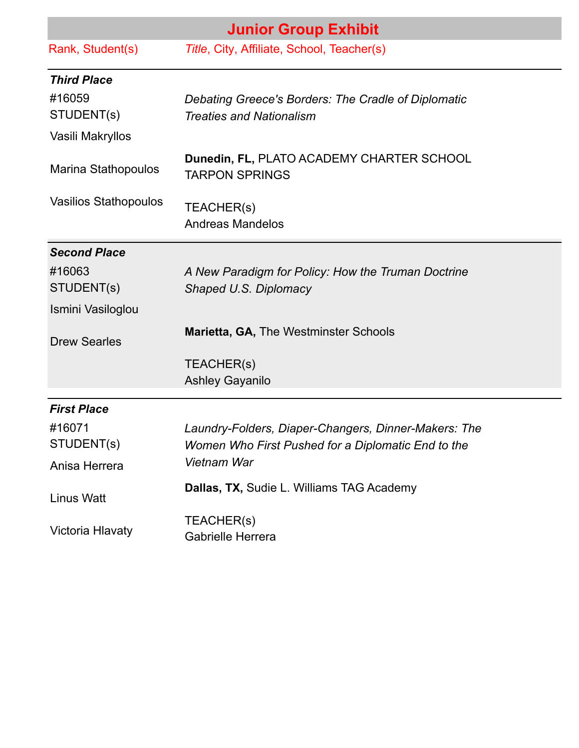|                              | <b>Junior Group Exhibit</b>                                                            |  |  |
|------------------------------|----------------------------------------------------------------------------------------|--|--|
| Rank, Student(s)             | Title, City, Affiliate, School, Teacher(s)                                             |  |  |
| <b>Third Place</b>           |                                                                                        |  |  |
| #16059<br>STUDENT(s)         | Debating Greece's Borders: The Cradle of Diplomatic<br><b>Treaties and Nationalism</b> |  |  |
| Vasili Makryllos             |                                                                                        |  |  |
| <b>Marina Stathopoulos</b>   | Dunedin, FL, PLATO ACADEMY CHARTER SCHOOL<br><b>TARPON SPRINGS</b>                     |  |  |
| <b>Vasilios Stathopoulos</b> | TEACHER(s)<br><b>Andreas Mandelos</b>                                                  |  |  |
| <b>Second Place</b>          |                                                                                        |  |  |
| #16063                       | A New Paradigm for Policy: How the Truman Doctrine                                     |  |  |
| STUDENT(s)                   | Shaped U.S. Diplomacy                                                                  |  |  |
| Ismini Vasiloglou            |                                                                                        |  |  |
| <b>Drew Searles</b>          | <b>Marietta, GA, The Westminster Schools</b>                                           |  |  |
|                              | TEACHER(s)                                                                             |  |  |
|                              | <b>Ashley Gayanilo</b>                                                                 |  |  |
| <b>First Place</b>           |                                                                                        |  |  |
| #16071                       | Laundry-Folders, Diaper-Changers, Dinner-Makers: The                                   |  |  |
| STUDENT(s)                   | Women Who First Pushed for a Diplomatic End to the                                     |  |  |
| Anisa Herrera                | Vietnam War                                                                            |  |  |
| <b>Linus Watt</b>            | Dallas, TX, Sudie L. Williams TAG Academy                                              |  |  |
| Victoria Hlavaty             | TEACHER(s)<br>Gabrielle Herrera                                                        |  |  |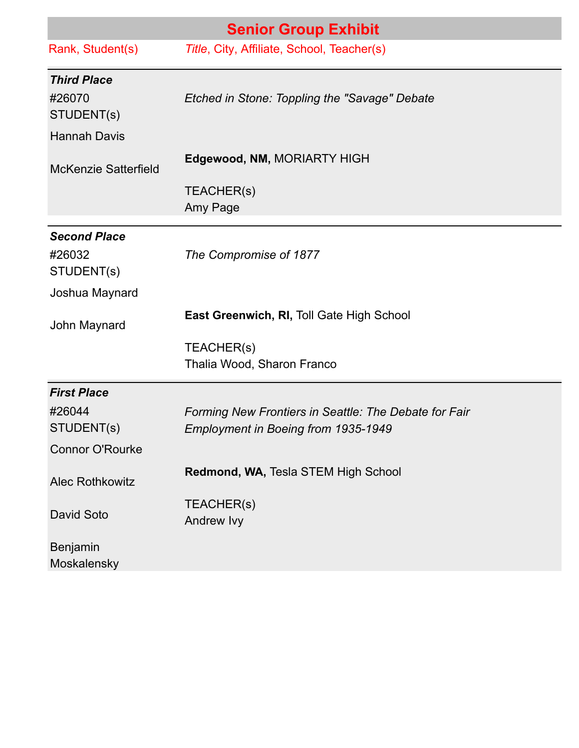| <b>Senior Group Exhibit</b> |                                                       |  |
|-----------------------------|-------------------------------------------------------|--|
| Rank, Student(s)            | Title, City, Affiliate, School, Teacher(s)            |  |
| <b>Third Place</b>          |                                                       |  |
| #26070                      | Etched in Stone: Toppling the "Savage" Debate         |  |
| STUDENT(s)                  |                                                       |  |
| <b>Hannah Davis</b>         |                                                       |  |
| <b>McKenzie Satterfield</b> | Edgewood, NM, MORIARTY HIGH                           |  |
|                             | TEACHER(s)                                            |  |
|                             | Amy Page                                              |  |
| <b>Second Place</b>         |                                                       |  |
| #26032                      | The Compromise of 1877                                |  |
| STUDENT(s)                  |                                                       |  |
| Joshua Maynard              |                                                       |  |
| John Maynard                | East Greenwich, RI, Toll Gate High School             |  |
|                             | TEACHER(s)                                            |  |
|                             | Thalia Wood, Sharon Franco                            |  |
| <b>First Place</b>          |                                                       |  |
| #26044                      | Forming New Frontiers in Seattle: The Debate for Fair |  |
| STUDENT(s)                  | Employment in Boeing from 1935-1949                   |  |
| <b>Connor O'Rourke</b>      |                                                       |  |
| <b>Alec Rothkowitz</b>      | Redmond, WA, Tesla STEM High School                   |  |
|                             | TEACHER(s)                                            |  |
| <b>David Soto</b>           | Andrew Ivy                                            |  |
| <b>Benjamin</b>             |                                                       |  |
| Moskalensky                 |                                                       |  |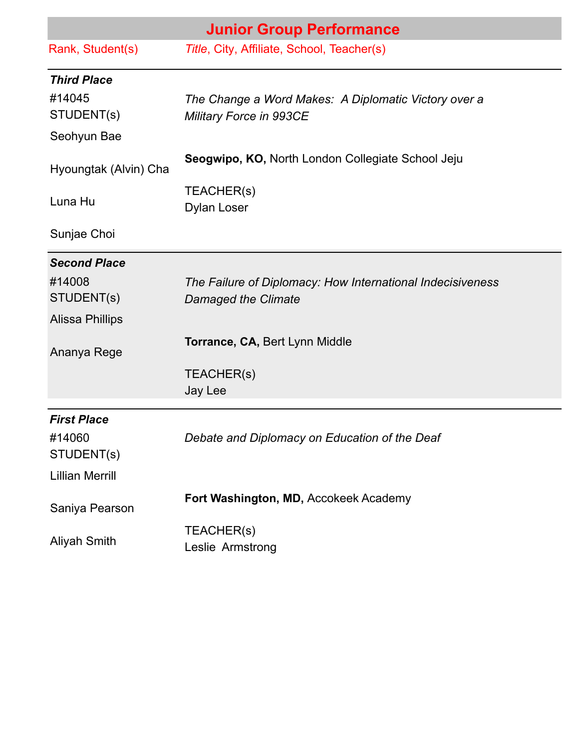| <b>Junior Group Performance</b> |                                                            |
|---------------------------------|------------------------------------------------------------|
| Rank, Student(s)                | Title, City, Affiliate, School, Teacher(s)                 |
| <b>Third Place</b>              |                                                            |
| #14045                          | The Change a Word Makes: A Diplomatic Victory over a       |
| STUDENT(s)                      | Military Force in 993CE                                    |
| Seohyun Bae                     |                                                            |
| Hyoungtak (Alvin) Cha           | Seogwipo, KO, North London Collegiate School Jeju          |
| Luna Hu                         | TEACHER(s)<br><b>Dylan Loser</b>                           |
| Sunjae Choi                     |                                                            |
| <b>Second Place</b>             |                                                            |
| #14008                          | The Failure of Diplomacy: How International Indecisiveness |
| STUDENT(s)                      | <b>Damaged the Climate</b>                                 |
| <b>Alissa Phillips</b>          |                                                            |
| Ananya Rege                     | Torrance, CA, Bert Lynn Middle                             |
|                                 | TEACHER(s)                                                 |
|                                 | Jay Lee                                                    |
| <b>First Place</b>              |                                                            |
| #14060<br>STUDENT(s)            | Debate and Diplomacy on Education of the Deaf              |
| <b>Lillian Merrill</b>          |                                                            |
| Saniya Pearson                  | Fort Washington, MD, Accokeek Academy                      |
| <b>Aliyah Smith</b>             | TEACHER(s)<br>Leslie Armstrong                             |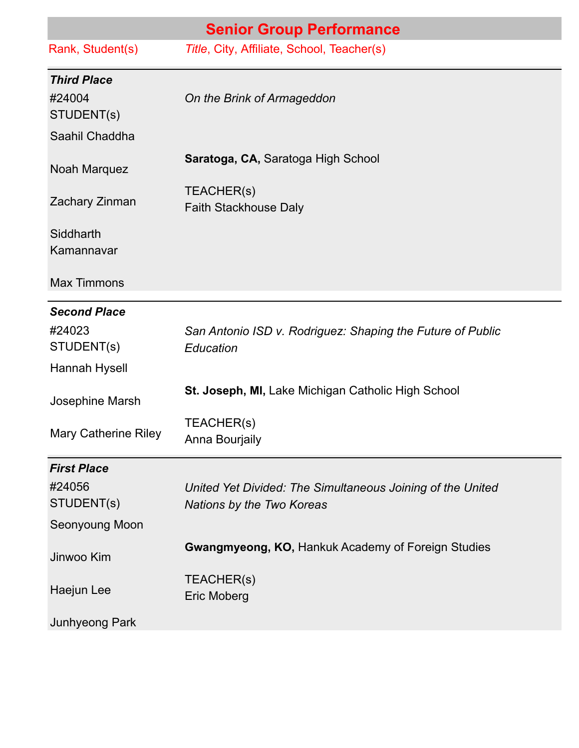| <b>Senior Group Performance</b> |                                                                                         |  |
|---------------------------------|-----------------------------------------------------------------------------------------|--|
| Rank, Student(s)                | Title, City, Affiliate, School, Teacher(s)                                              |  |
| <b>Third Place</b>              |                                                                                         |  |
| #24004                          | On the Brink of Armageddon                                                              |  |
| STUDENT(s)<br>Saahil Chaddha    |                                                                                         |  |
| Noah Marquez                    | Saratoga, CA, Saratoga High School                                                      |  |
| Zachary Zinman                  | TEACHER(s)<br>Faith Stackhouse Daly                                                     |  |
| Siddharth<br>Kamannavar         |                                                                                         |  |
| <b>Max Timmons</b>              |                                                                                         |  |
| <b>Second Place</b>             |                                                                                         |  |
| #24023<br>STUDENT(s)            | San Antonio ISD v. Rodriguez: Shaping the Future of Public<br>Education                 |  |
| Hannah Hysell                   |                                                                                         |  |
| Josephine Marsh                 | St. Joseph, MI, Lake Michigan Catholic High School                                      |  |
| Mary Catherine Riley            | TEACHER(s)<br>Anna Bourjaily                                                            |  |
| <b>First Place</b>              |                                                                                         |  |
| #24056<br>STUDENT(s)            | United Yet Divided: The Simultaneous Joining of the United<br>Nations by the Two Koreas |  |
| Seonyoung Moon                  |                                                                                         |  |
| Jinwoo Kim                      | <b>Gwangmyeong, KO, Hankuk Academy of Foreign Studies</b>                               |  |
| Haejun Lee                      | TEACHER(s)<br><b>Eric Moberg</b>                                                        |  |
| Junhyeong Park                  |                                                                                         |  |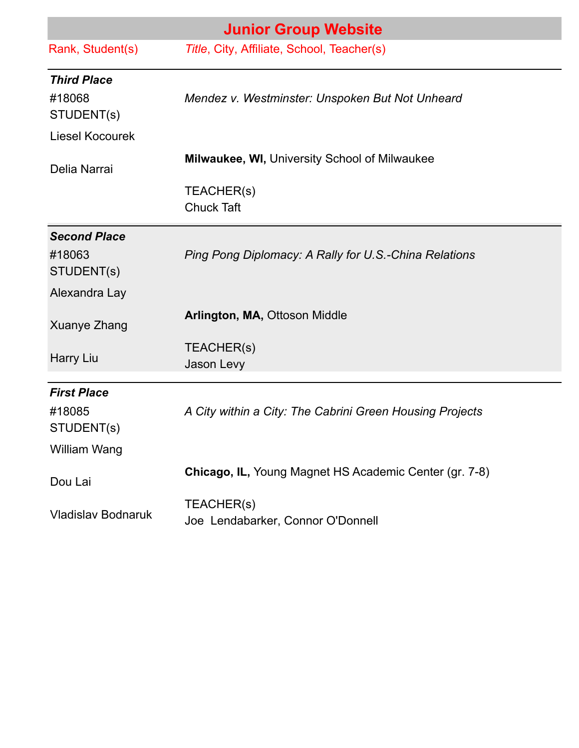| <b>Junior Group Website</b>  |                                                          |
|------------------------------|----------------------------------------------------------|
| Rank, Student(s)             | Title, City, Affiliate, School, Teacher(s)               |
| <b>Third Place</b><br>#18068 | Mendez v. Westminster: Unspoken But Not Unheard          |
| STUDENT(s)                   |                                                          |
| Liesel Kocourek              |                                                          |
| Delia Narrai                 | Milwaukee, WI, University School of Milwaukee            |
|                              | TEACHER(s)<br><b>Chuck Taft</b>                          |
| <b>Second Place</b>          |                                                          |
| #18063<br>STUDENT(s)         | Ping Pong Diplomacy: A Rally for U.S.-China Relations    |
| Alexandra Lay                |                                                          |
| Xuanye Zhang                 | Arlington, MA, Ottoson Middle                            |
| Harry Liu                    | TEACHER(s)<br>Jason Levy                                 |
| <b>First Place</b>           |                                                          |
| #18085<br>STUDENT(s)         | A City within a City: The Cabrini Green Housing Projects |
| William Wang                 |                                                          |
| Dou Lai                      | Chicago, IL, Young Magnet HS Academic Center (gr. 7-8)   |
| <b>Vladislav Bodnaruk</b>    | TEACHER(s)<br>Joe Lendabarker, Connor O'Donnell          |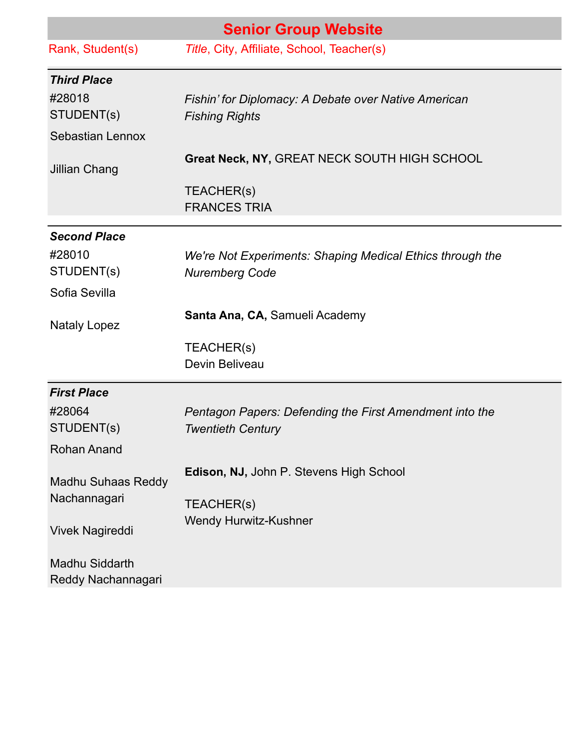| <b>Senior Group Website</b>                 |                                                                                     |  |
|---------------------------------------------|-------------------------------------------------------------------------------------|--|
| Rank, Student(s)                            | Title, City, Affiliate, School, Teacher(s)                                          |  |
| <b>Third Place</b>                          |                                                                                     |  |
| #28018<br>STUDENT(s)                        | Fishin' for Diplomacy: A Debate over Native American<br><b>Fishing Rights</b>       |  |
| Sebastian Lennox                            |                                                                                     |  |
| Jillian Chang                               | Great Neck, NY, GREAT NECK SOUTH HIGH SCHOOL                                        |  |
|                                             | TEACHER(s)<br><b>FRANCES TRIA</b>                                                   |  |
| <b>Second Place</b>                         |                                                                                     |  |
| #28010<br>STUDENT(s)                        | We're Not Experiments: Shaping Medical Ethics through the<br><b>Nuremberg Code</b>  |  |
| Sofia Sevilla                               |                                                                                     |  |
| <b>Nataly Lopez</b>                         | Santa Ana, CA, Samueli Academy                                                      |  |
|                                             | TEACHER(s)<br>Devin Beliveau                                                        |  |
| <b>First Place</b>                          |                                                                                     |  |
| #28064<br>STUDENT(s)                        | Pentagon Papers: Defending the First Amendment into the<br><b>Twentieth Century</b> |  |
| <b>Rohan Anand</b>                          |                                                                                     |  |
| Madhu Suhaas Reddy<br>Nachannagari          | Edison, NJ, John P. Stevens High School                                             |  |
| Vivek Nagireddi                             | TEACHER(s)<br><b>Wendy Hurwitz-Kushner</b>                                          |  |
| <b>Madhu Siddarth</b><br>Reddy Nachannagari |                                                                                     |  |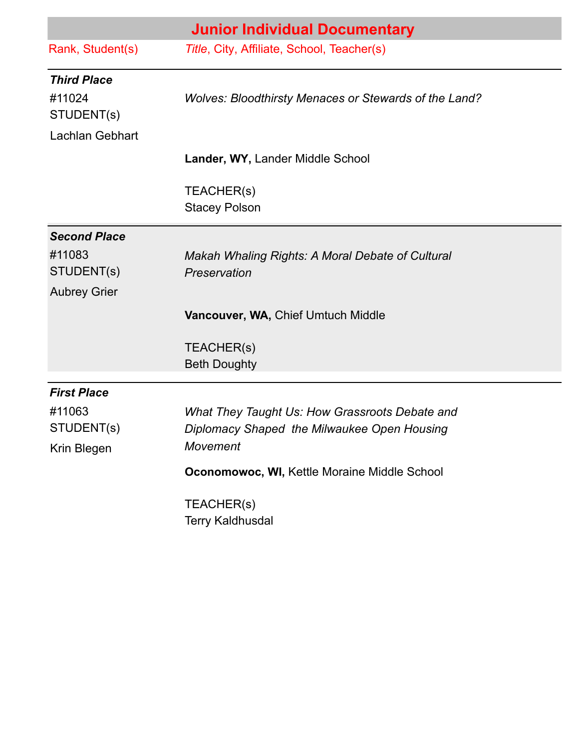|                        | <b>Junior Individual Documentary</b>                             |
|------------------------|------------------------------------------------------------------|
| Rank, Student(s)       | Title, City, Affiliate, School, Teacher(s)                       |
| <b>Third Place</b>     |                                                                  |
| #11024<br>STUDENT(s)   | <b>Wolves: Bloodthirsty Menaces or Stewards of the Land?</b>     |
| <b>Lachlan Gebhart</b> |                                                                  |
|                        | Lander, WY, Lander Middle School                                 |
|                        | TEACHER(s)<br><b>Stacey Polson</b>                               |
| <b>Second Place</b>    |                                                                  |
| #11083<br>STUDENT(s)   | Makah Whaling Rights: A Moral Debate of Cultural<br>Preservation |
| <b>Aubrey Grier</b>    |                                                                  |
|                        | Vancouver, WA, Chief Umtuch Middle                               |
|                        | TEACHER(s)                                                       |
|                        | <b>Beth Doughty</b>                                              |
| <b>First Place</b>     |                                                                  |
| #11063                 | What They Taught Us: How Grassroots Debate and                   |
| STUDENT(s)             | Diplomacy Shaped the Milwaukee Open Housing                      |
| Krin Blegen            | <b>Movement</b>                                                  |
|                        | Oconomowoc, WI, Kettle Moraine Middle School                     |
|                        | TEACHER(s)                                                       |
|                        | <b>Terry Kaldhusdal</b>                                          |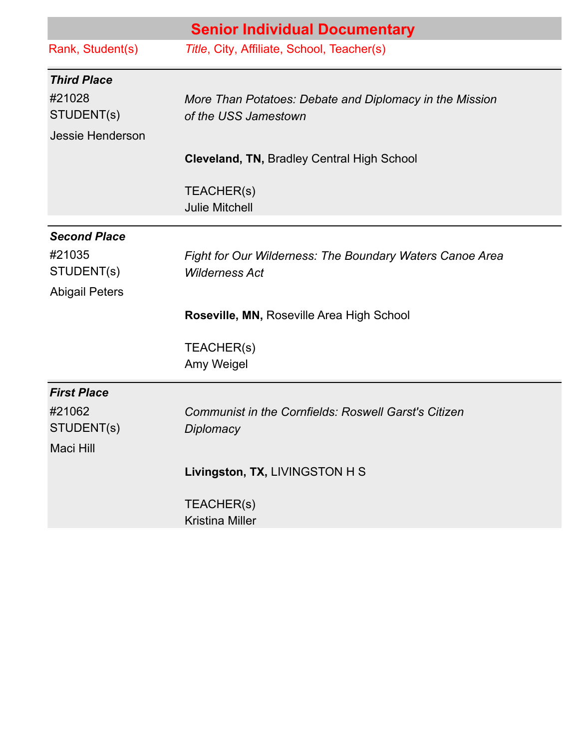|                       | <b>Senior Individual Documentary</b>                            |
|-----------------------|-----------------------------------------------------------------|
| Rank, Student(s)      | Title, City, Affiliate, School, Teacher(s)                      |
| <b>Third Place</b>    |                                                                 |
| #21028                | More Than Potatoes: Debate and Diplomacy in the Mission         |
| STUDENT(s)            | of the USS Jamestown                                            |
| Jessie Henderson      |                                                                 |
|                       | <b>Cleveland, TN, Bradley Central High School</b>               |
|                       | TEACHER(s)                                                      |
|                       | <b>Julie Mitchell</b>                                           |
| <b>Second Place</b>   |                                                                 |
| #21035                | <b>Fight for Our Wilderness: The Boundary Waters Canoe Area</b> |
| STUDENT(s)            | <b>Wilderness Act</b>                                           |
| <b>Abigail Peters</b> |                                                                 |
|                       | Roseville, MN, Roseville Area High School                       |
|                       | TEACHER(s)                                                      |
|                       | Amy Weigel                                                      |
| <b>First Place</b>    |                                                                 |
| #21062                | <b>Communist in the Cornfields: Roswell Garst's Citizen</b>     |
| STUDENT(s)            | Diplomacy                                                       |
| Maci Hill             |                                                                 |
|                       | Livingston, TX, LIVINGSTON H S                                  |
|                       | TEACHER(s)                                                      |
|                       | <b>Kristina Miller</b>                                          |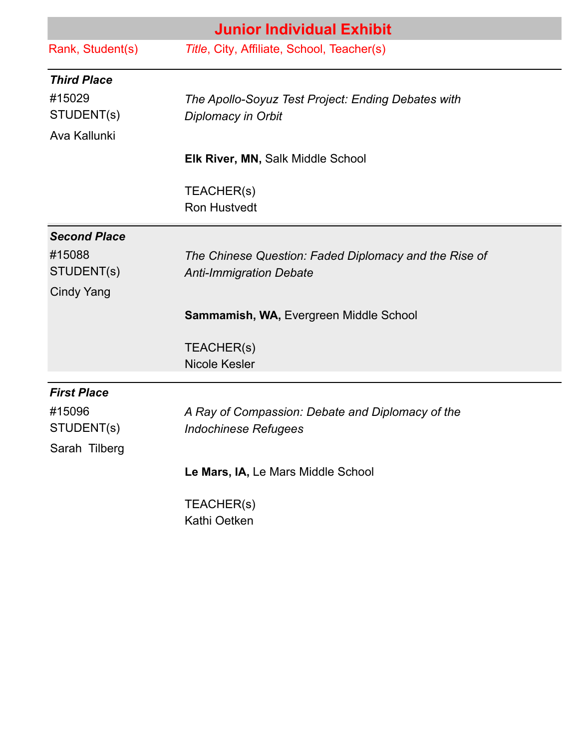|                     | <b>Junior Individual Exhibit</b>                      |
|---------------------|-------------------------------------------------------|
| Rank, Student(s)    | Title, City, Affiliate, School, Teacher(s)            |
| <b>Third Place</b>  |                                                       |
| #15029              | The Apollo-Soyuz Test Project: Ending Debates with    |
| STUDENT(s)          | Diplomacy in Orbit                                    |
| Ava Kallunki        |                                                       |
|                     | <b>Elk River, MN, Salk Middle School</b>              |
|                     | TEACHER(s)                                            |
|                     | <b>Ron Hustvedt</b>                                   |
| <b>Second Place</b> |                                                       |
| #15088              | The Chinese Question: Faded Diplomacy and the Rise of |
| STUDENT(s)          | <b>Anti-Immigration Debate</b>                        |
| <b>Cindy Yang</b>   |                                                       |
|                     | Sammamish, WA, Evergreen Middle School                |
|                     | TEACHER(s)                                            |
|                     | <b>Nicole Kesler</b>                                  |
| <b>First Place</b>  |                                                       |
| #15096              | A Ray of Compassion: Debate and Diplomacy of the      |
| STUDENT(s)          | <b>Indochinese Refugees</b>                           |
| Sarah Tilberg       |                                                       |
|                     | Le Mars, IA, Le Mars Middle School                    |
|                     | TEACHER(s)                                            |
|                     | Kathi Oetken                                          |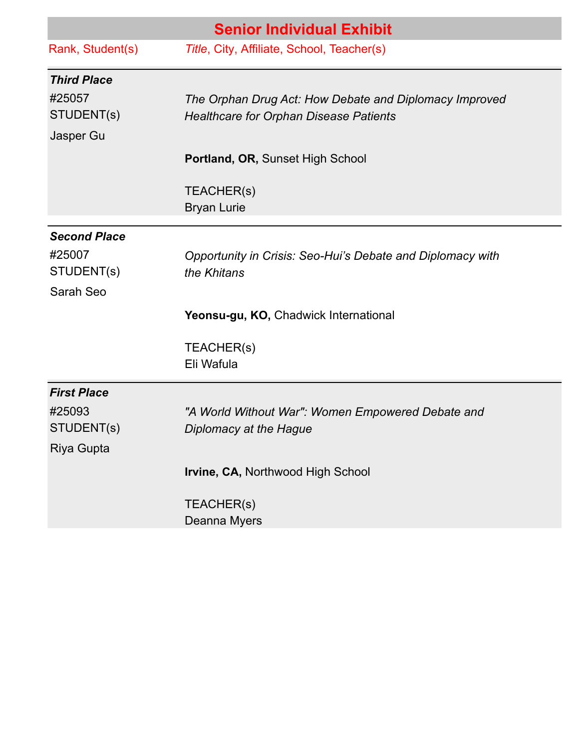|                     | <b>Senior Individual Exhibit</b>                           |
|---------------------|------------------------------------------------------------|
| Rank, Student(s)    | Title, City, Affiliate, School, Teacher(s)                 |
| <b>Third Place</b>  |                                                            |
| #25057              | The Orphan Drug Act: How Debate and Diplomacy Improved     |
| STUDENT(s)          | <b>Healthcare for Orphan Disease Patients</b>              |
| Jasper Gu           |                                                            |
|                     | Portland, OR, Sunset High School                           |
|                     | TEACHER(s)                                                 |
|                     | <b>Bryan Lurie</b>                                         |
| <b>Second Place</b> |                                                            |
| #25007              | Opportunity in Crisis: Seo-Hui's Debate and Diplomacy with |
| STUDENT(s)          | the Khitans                                                |
| Sarah Seo           |                                                            |
|                     | Yeonsu-gu, KO, Chadwick International                      |
|                     | TEACHER(s)                                                 |
|                     | Eli Wafula                                                 |
| <b>First Place</b>  |                                                            |
| #25093              | "A World Without War": Women Empowered Debate and          |
| STUDENT(s)          | Diplomacy at the Hague                                     |
| Riya Gupta          |                                                            |
|                     | Irvine, CA, Northwood High School                          |
|                     | TEACHER(s)                                                 |
|                     | Deanna Myers                                               |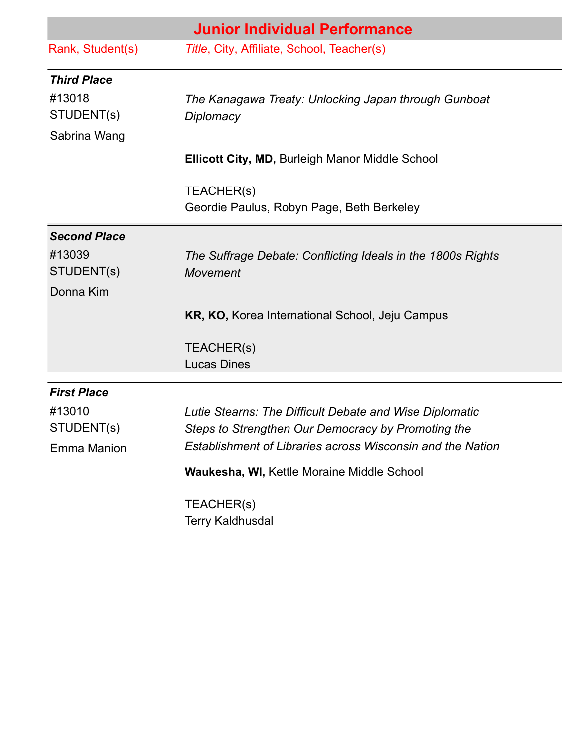|                      | <b>Junior Individual Performance</b>                                                                                    |
|----------------------|-------------------------------------------------------------------------------------------------------------------------|
| Rank, Student(s)     | Title, City, Affiliate, School, Teacher(s)                                                                              |
| <b>Third Place</b>   |                                                                                                                         |
| #13018<br>STUDENT(s) | The Kanagawa Treaty: Unlocking Japan through Gunboat<br>Diplomacy                                                       |
| Sabrina Wang         |                                                                                                                         |
|                      | <b>Ellicott City, MD, Burleigh Manor Middle School</b>                                                                  |
|                      | TEACHER(s)                                                                                                              |
|                      | Geordie Paulus, Robyn Page, Beth Berkeley                                                                               |
| <b>Second Place</b>  |                                                                                                                         |
| #13039<br>STUDENT(s) | The Suffrage Debate: Conflicting Ideals in the 1800s Rights<br><b>Movement</b>                                          |
| Donna Kim            |                                                                                                                         |
|                      | KR, KO, Korea International School, Jeju Campus                                                                         |
|                      | TEACHER(s)                                                                                                              |
|                      | <b>Lucas Dines</b>                                                                                                      |
| <b>First Place</b>   |                                                                                                                         |
| #13010               | Lutie Stearns: The Difficult Debate and Wise Diplomatic                                                                 |
| STUDENT(s)           | Steps to Strengthen Our Democracy by Promoting the<br><b>Establishment of Libraries across Wisconsin and the Nation</b> |
| Emma Manion          |                                                                                                                         |
|                      | <b>Waukesha, WI, Kettle Moraine Middle School</b>                                                                       |
|                      | TEACHER(s)                                                                                                              |
|                      | <b>Terry Kaldhusdal</b>                                                                                                 |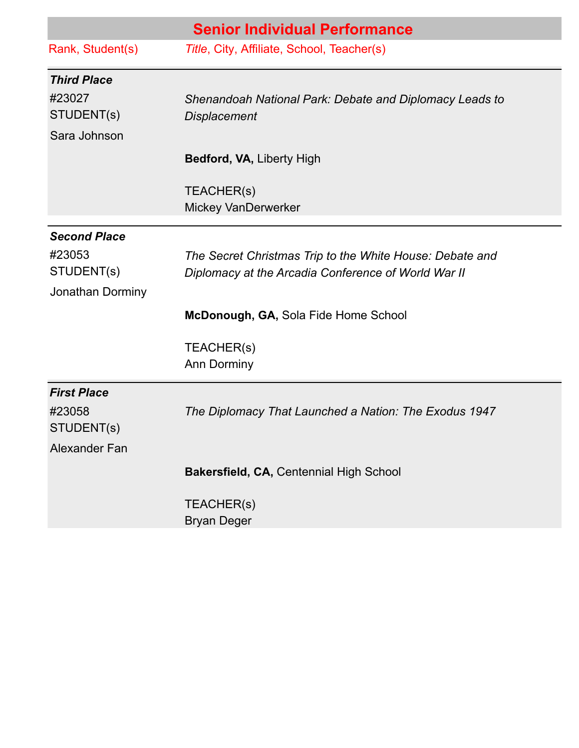|                               | <b>Senior Individual Performance</b>                                                                            |
|-------------------------------|-----------------------------------------------------------------------------------------------------------------|
| Rank, Student(s)              | Title, City, Affiliate, School, Teacher(s)                                                                      |
| <b>Third Place</b>            |                                                                                                                 |
| #23027                        | Shenandoah National Park: Debate and Diplomacy Leads to                                                         |
| STUDENT(s)                    | <b>Displacement</b>                                                                                             |
| Sara Johnson                  |                                                                                                                 |
|                               | Bedford, VA, Liberty High                                                                                       |
|                               | TEACHER(s)                                                                                                      |
|                               | Mickey VanDerwerker                                                                                             |
|                               |                                                                                                                 |
| <b>Second Place</b><br>#23053 |                                                                                                                 |
| STUDENT(s)                    | The Secret Christmas Trip to the White House: Debate and<br>Diplomacy at the Arcadia Conference of World War II |
| Jonathan Dorminy              |                                                                                                                 |
|                               | McDonough, GA, Sola Fide Home School                                                                            |
|                               | TEACHER(s)                                                                                                      |
|                               | <b>Ann Dorminy</b>                                                                                              |
| <b>First Place</b>            |                                                                                                                 |
| #23058                        | The Diplomacy That Launched a Nation: The Exodus 1947                                                           |
| STUDENT(s)                    |                                                                                                                 |
| Alexander Fan                 |                                                                                                                 |
|                               | Bakersfield, CA, Centennial High School                                                                         |
|                               | TEACHER(s)                                                                                                      |
|                               | <b>Bryan Deger</b>                                                                                              |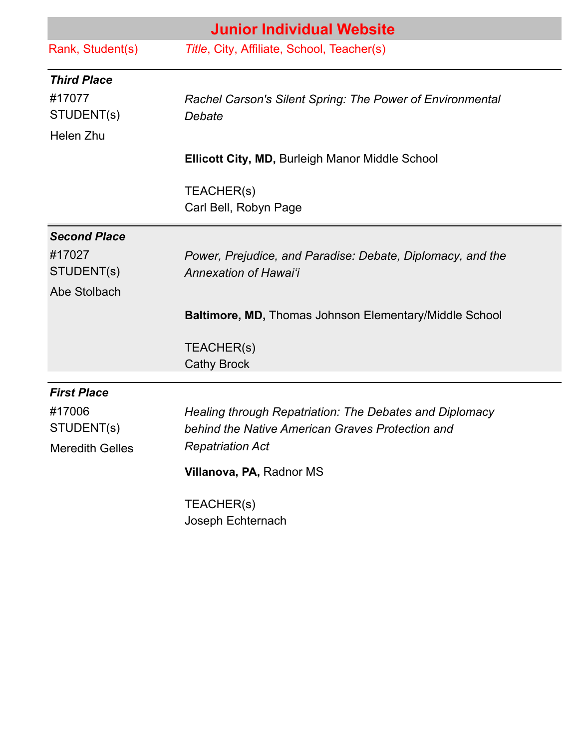| <b>Junior Individual Website</b> |                                                               |  |
|----------------------------------|---------------------------------------------------------------|--|
| Rank, Student(s)                 | Title, City, Affiliate, School, Teacher(s)                    |  |
| <b>Third Place</b>               |                                                               |  |
| #17077                           | Rachel Carson's Silent Spring: The Power of Environmental     |  |
| STUDENT(s)                       | Debate                                                        |  |
| Helen Zhu                        |                                                               |  |
|                                  | <b>Ellicott City, MD, Burleigh Manor Middle School</b>        |  |
|                                  | TEACHER(s)                                                    |  |
|                                  | Carl Bell, Robyn Page                                         |  |
| <b>Second Place</b>              |                                                               |  |
| #17027                           | Power, Prejudice, and Paradise: Debate, Diplomacy, and the    |  |
| STUDENT(s)                       | Annexation of Hawai'i                                         |  |
| Abe Stolbach                     |                                                               |  |
|                                  | <b>Baltimore, MD, Thomas Johnson Elementary/Middle School</b> |  |
|                                  | TEACHER(s)                                                    |  |
|                                  | <b>Cathy Brock</b>                                            |  |
| <b>First Place</b>               |                                                               |  |
| #17006                           | Healing through Repatriation: The Debates and Diplomacy       |  |
| STUDENT(s)                       | behind the Native American Graves Protection and              |  |
| <b>Meredith Gelles</b>           | <b>Repatriation Act</b>                                       |  |
|                                  | Villanova, PA, Radnor MS                                      |  |
|                                  | TEACHER(s)                                                    |  |
|                                  | Joseph Echternach                                             |  |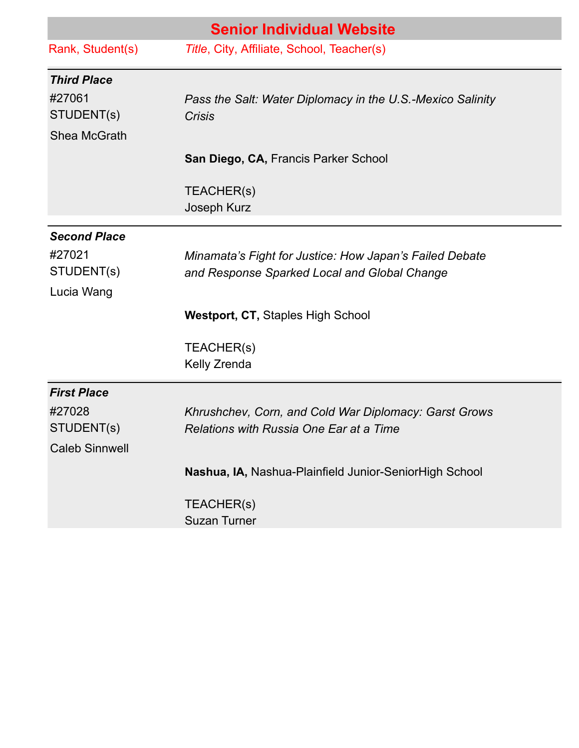| <b>Senior Individual Website</b> |                                                            |  |
|----------------------------------|------------------------------------------------------------|--|
| Rank, Student(s)                 | Title, City, Affiliate, School, Teacher(s)                 |  |
| <b>Third Place</b>               |                                                            |  |
| #27061                           | Pass the Salt: Water Diplomacy in the U.S.-Mexico Salinity |  |
| STUDENT(s)                       | <b>Crisis</b>                                              |  |
| Shea McGrath                     |                                                            |  |
|                                  | San Diego, CA, Francis Parker School                       |  |
|                                  | TEACHER(s)                                                 |  |
|                                  | Joseph Kurz                                                |  |
| <b>Second Place</b>              |                                                            |  |
| #27021                           | Minamata's Fight for Justice: How Japan's Failed Debate    |  |
| STUDENT(s)                       | and Response Sparked Local and Global Change               |  |
| Lucia Wang                       |                                                            |  |
|                                  | <b>Westport, CT, Staples High School</b>                   |  |
|                                  | TEACHER(s)                                                 |  |
|                                  | Kelly Zrenda                                               |  |
| <b>First Place</b>               |                                                            |  |
| #27028                           | Khrushchev, Corn, and Cold War Diplomacy: Garst Grows      |  |
| STUDENT(s)                       | Relations with Russia One Ear at a Time                    |  |
| <b>Caleb Sinnwell</b>            |                                                            |  |
|                                  | Nashua, IA, Nashua-Plainfield Junior-SeniorHigh School     |  |
|                                  | TEACHER(s)                                                 |  |
|                                  | <b>Suzan Turner</b>                                        |  |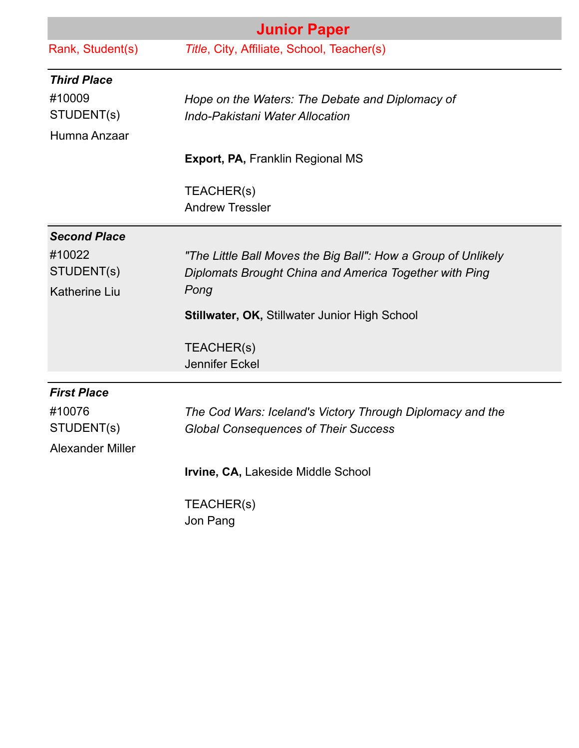| <b>Junior Paper</b>     |                                                               |  |
|-------------------------|---------------------------------------------------------------|--|
| Rank, Student(s)        | Title, City, Affiliate, School, Teacher(s)                    |  |
| <b>Third Place</b>      |                                                               |  |
| #10009                  | Hope on the Waters: The Debate and Diplomacy of               |  |
| STUDENT(s)              | <b>Indo-Pakistani Water Allocation</b>                        |  |
| Humna Anzaar            |                                                               |  |
|                         | <b>Export, PA, Franklin Regional MS</b>                       |  |
|                         | TEACHER(s)                                                    |  |
|                         | <b>Andrew Tressler</b>                                        |  |
| <b>Second Place</b>     |                                                               |  |
| #10022                  | "The Little Ball Moves the Big Ball": How a Group of Unlikely |  |
| STUDENT(s)              | Diplomats Brought China and America Together with Ping        |  |
| <b>Katherine Liu</b>    | Pong                                                          |  |
|                         | <b>Stillwater, OK, Stillwater Junior High School</b>          |  |
|                         | TEACHER(s)                                                    |  |
|                         | <b>Jennifer Eckel</b>                                         |  |
| <b>First Place</b>      |                                                               |  |
| #10076                  | The Cod Wars: Iceland's Victory Through Diplomacy and the     |  |
| STUDENT(s)              | <b>Global Consequences of Their Success</b>                   |  |
| <b>Alexander Miller</b> |                                                               |  |
|                         | Irvine, CA, Lakeside Middle School                            |  |
|                         | TEACHER(s)                                                    |  |
|                         | Jon Pang                                                      |  |